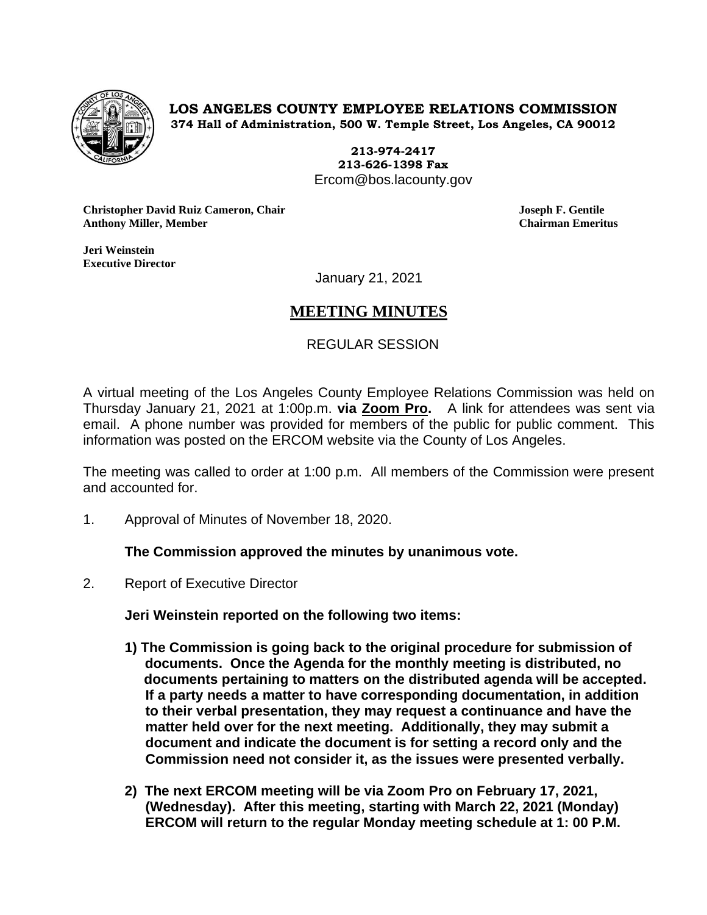

**LOS ANGELES COUNTY EMPLOYEE RELATIONS COMMISSION 374 Hall of Administration, 500 W. Temple Street, Los Angeles, CA 90012**

> **213-974-2417 213-626-1398 Fax** Ercom@bos.lacounty.gov

**Christopher David Ruiz Cameron, Chair Joseph F. Gentile Anthony Miller, Member Chairman Emeritus**

**Jeri Weinstein Executive Director** 

January 21, 2021

# **MEETING MINUTES**

## REGULAR SESSION

A virtual meeting of the Los Angeles County Employee Relations Commission was held on Thursday January 21, 2021 at 1:00p.m. **via Zoom Pro.** A link for attendees was sent via email. A phone number was provided for members of the public for public comment. This information was posted on the ERCOM website via the County of Los Angeles.

The meeting was called to order at 1:00 p.m. All members of the Commission were present and accounted for.

1. Approval of Minutes of November 18, 2020.

## **The Commission approved the minutes by unanimous vote.**

2. Report of Executive Director

**Jeri Weinstein reported on the following two items:**

- **1) The Commission is going back to the original procedure for submission of documents. Once the Agenda for the monthly meeting is distributed, no documents pertaining to matters on the distributed agenda will be accepted. If a party needs a matter to have corresponding documentation, in addition to their verbal presentation, they may request a continuance and have the matter held over for the next meeting. Additionally, they may submit a document and indicate the document is for setting a record only and the Commission need not consider it, as the issues were presented verbally.**
- **2) The next ERCOM meeting will be via Zoom Pro on February 17, 2021, (Wednesday). After this meeting, starting with March 22, 2021 (Monday) ERCOM will return to the regular Monday meeting schedule at 1: 00 P.M.**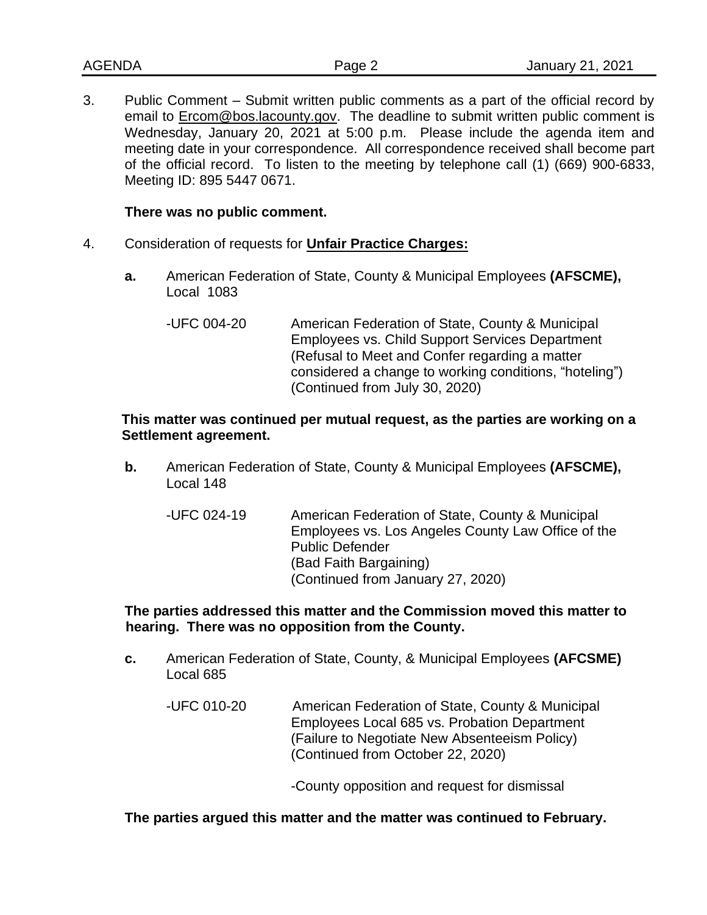3. Public Comment – Submit written public comments as a part of the official record by email to **Ercom@bos.lacounty.gov.** The deadline to submit written public comment is Wednesday, January 20, 2021 at 5:00 p.m. Please include the agenda item and meeting date in your correspondence. All correspondence received shall become part of the official record. To listen to the meeting by telephone call (1) (669) 900-6833, Meeting ID: 895 5447 0671.

## **There was no public comment.**

- 4. Consideration of requests for **Unfair Practice Charges:**
	- **a.** American Federation of State, County & Municipal Employees **(AFSCME),**  Local 1083
		- -UFC 004-20 American Federation of State, County & Municipal Employees vs. Child Support Services Department (Refusal to Meet and Confer regarding a matter considered a change to working conditions, "hoteling") (Continued from July 30, 2020)

## **This matter was continued per mutual request, as the parties are working on a Settlement agreement.**

- **b.** American Federation of State, County & Municipal Employees **(AFSCME),** Local 148
	- -UFC 024-19 American Federation of State, County & Municipal Employees vs. Los Angeles County Law Office of the Public Defender (Bad Faith Bargaining) (Continued from January 27, 2020)

**The parties addressed this matter and the Commission moved this matter to hearing. There was no opposition from the County.** 

- **c.** American Federation of State, County, & Municipal Employees **(AFCSME)** Local 685
	- -UFC 010-20 American Federation of State, County & Municipal Employees Local 685 vs. Probation Department (Failure to Negotiate New Absenteeism Policy) (Continued from October 22, 2020)

-County opposition and request for dismissal

## **The parties argued this matter and the matter was continued to February.**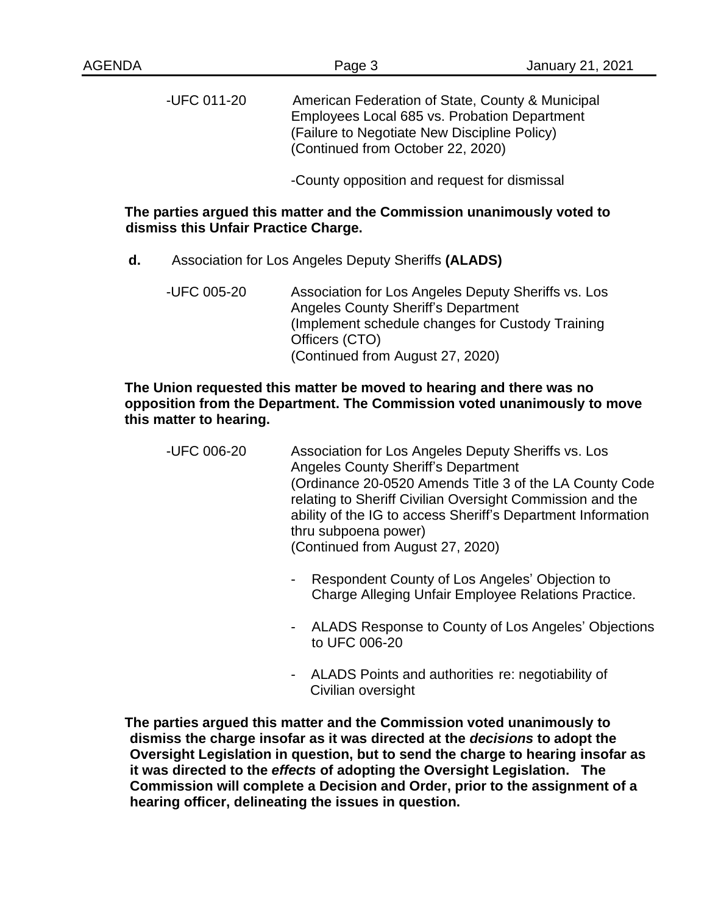-UFC 011-20 American Federation of State, County & Municipal Employees Local 685 vs. Probation Department (Failure to Negotiate New Discipline Policy) (Continued from October 22, 2020)

-County opposition and request for dismissal

## **The parties argued this matter and the Commission unanimously voted to dismiss this Unfair Practice Charge.**

- **d.** Association for Los Angeles Deputy Sheriffs **(ALADS)**
	- -UFC 005-20 Association for Los Angeles Deputy Sheriffs vs. Los Angeles County Sheriff's Department (Implement schedule changes for Custody Training Officers (CTO) (Continued from August 27, 2020)

## **The Union requested this matter be moved to hearing and there was no opposition from the Department. The Commission voted unanimously to move this matter to hearing.**

| -UFC 006-20 | Association for Los Angeles Deputy Sheriffs vs. Los<br><b>Angeles County Sheriff's Department</b> |
|-------------|---------------------------------------------------------------------------------------------------|
|             | (Ordinance 20-0520 Amends Title 3 of the LA County Code                                           |
|             | relating to Sheriff Civilian Oversight Commission and the                                         |
|             | ability of the IG to access Sheriff's Department Information                                      |
|             | thru subpoena power)                                                                              |
|             | (Continued from August 27, 2020)                                                                  |

- Respondent County of Los Angeles' Objection to Charge Alleging Unfair Employee Relations Practice.
- ALADS Response to County of Los Angeles' Objections to UFC 006-20
- ALADS Points and authorities re: negotiability of Civilian oversight

**The parties argued this matter and the Commission voted unanimously to dismiss the charge insofar as it was directed at the** *decisions* **to adopt the Oversight Legislation in question, but to send the charge to hearing insofar as it was directed to the** *effects* **of adopting the Oversight Legislation. The Commission will complete a Decision and Order, prior to the assignment of a hearing officer, delineating the issues in question.**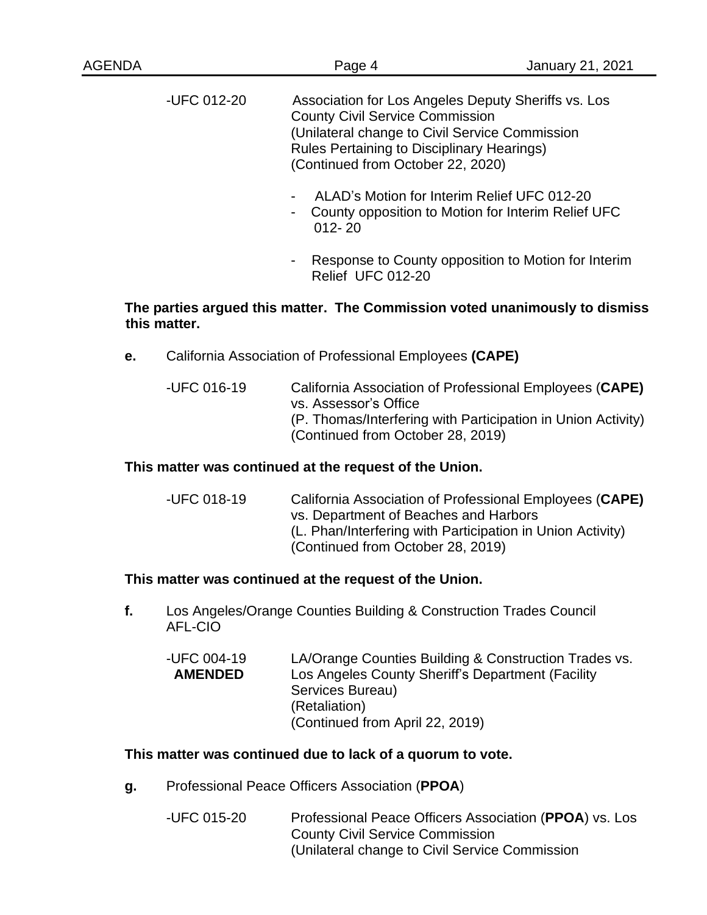| <b>AGENDA</b> |             | Page 4                                                                                                                                                                                                                                    | January 21, 2021 |
|---------------|-------------|-------------------------------------------------------------------------------------------------------------------------------------------------------------------------------------------------------------------------------------------|------------------|
|               | -UFC 012-20 | Association for Los Angeles Deputy Sheriffs vs. Los<br><b>County Civil Service Commission</b><br>(Unilateral change to Civil Service Commission<br><b>Rules Pertaining to Disciplinary Hearings)</b><br>(Continued from October 22, 2020) |                  |
|               |             | ALAD's Motion for Interim Relief UFC 012-20<br>$\blacksquare$<br>County opposition to Motion for Interim Relief UFC<br>۰<br>$012 - 20$                                                                                                    |                  |

Response to County opposition to Motion for Interim Relief UFC 012-20

## **The parties argued this matter. The Commission voted unanimously to dismiss this matter.**

- **e.** California Association of Professional Employees **(CAPE)**
	- -UFC 016-19 California Association of Professional Employees (**CAPE)** vs. Assessor's Office (P. Thomas/Interfering with Participation in Union Activity) (Continued from October 28, 2019)

## **This matter was continued at the request of the Union.**

-UFC 018-19 California Association of Professional Employees (**CAPE)** vs. Department of Beaches and Harbors (L. Phan/Interfering with Participation in Union Activity) (Continued from October 28, 2019)

## **This matter was continued at the request of the Union.**

**f.** Los Angeles/Orange Counties Building & Construction Trades Council AFL-CIO

| LA/Orange Counties Building & Construction Trades vs. |
|-------------------------------------------------------|
| Los Angeles County Sheriff's Department (Facility     |
| Services Bureau)                                      |
| (Retaliation)                                         |
| (Continued from April 22, 2019)                       |
|                                                       |

## **This matter was continued due to lack of a quorum to vote.**

- **g.** Professional Peace Officers Association (**PPOA**)
	- -UFC 015-20 Professional Peace Officers Association (**PPOA**) vs. Los County Civil Service Commission (Unilateral change to Civil Service Commission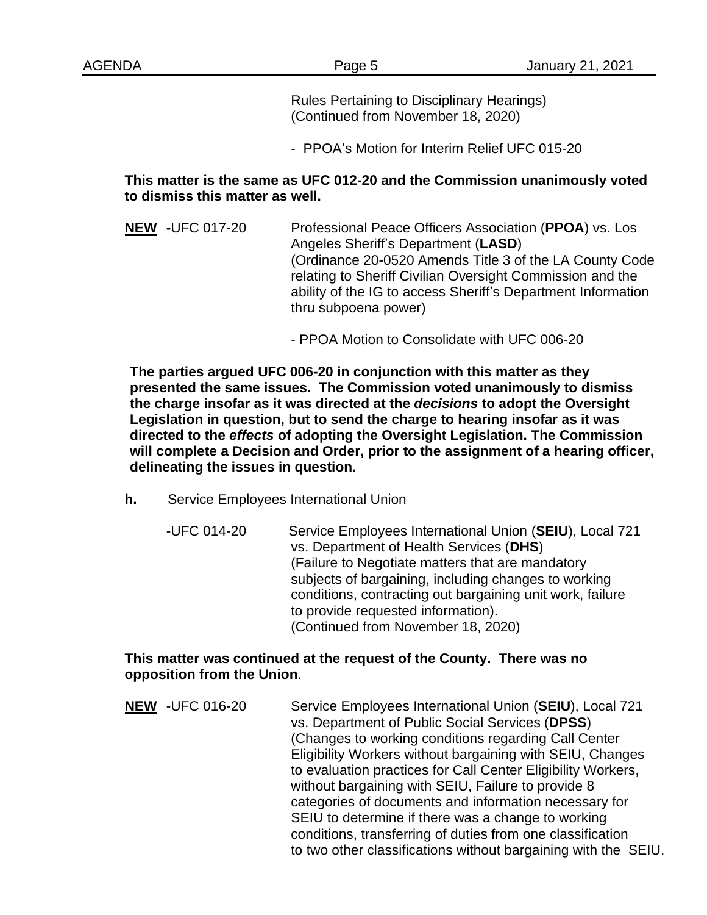Rules Pertaining to Disciplinary Hearings) (Continued from November 18, 2020)

- PPOA's Motion for Interim Relief UFC 015-20

## **This matter is the same as UFC 012-20 and the Commission unanimously voted to dismiss this matter as well.**

- **NEW -**UFC 017-20 Professional Peace Officers Association (**PPOA**) vs. Los Angeles Sheriff's Department (**LASD**) (Ordinance 20-0520 Amends Title 3 of the LA County Code relating to Sheriff Civilian Oversight Commission and the ability of the IG to access Sheriff's Department Information thru subpoena power)
	- PPOA Motion to Consolidate with UFC 006-20

**The parties argued UFC 006-20 in conjunction with this matter as they presented the same issues. The Commission voted unanimously to dismiss the charge insofar as it was directed at the** *decisions* **to adopt the Oversight Legislation in question, but to send the charge to hearing insofar as it was directed to the** *effects* **of adopting the Oversight Legislation. The Commission will complete a Decision and Order, prior to the assignment of a hearing officer, delineating the issues in question.** 

- **h.** Service Employees International Union
	- -UFC 014-20 Service Employees International Union (**SEIU**), Local 721 vs. Department of Health Services (**DHS**) (Failure to Negotiate matters that are mandatory subjects of bargaining, including changes to working conditions, contracting out bargaining unit work, failure to provide requested information). (Continued from November 18, 2020)

## **This matter was continued at the request of the County. There was no opposition from the Union**.

**NEW** -UFC 016-20 Service Employees International Union (**SEIU**), Local 721 vs. Department of Public Social Services (**DPSS**) (Changes to working conditions regarding Call Center Eligibility Workers without bargaining with SEIU, Changes to evaluation practices for Call Center Eligibility Workers, without bargaining with SEIU, Failure to provide 8 categories of documents and information necessary for SEIU to determine if there was a change to working conditions, transferring of duties from one classification to two other classifications without bargaining with the SEIU.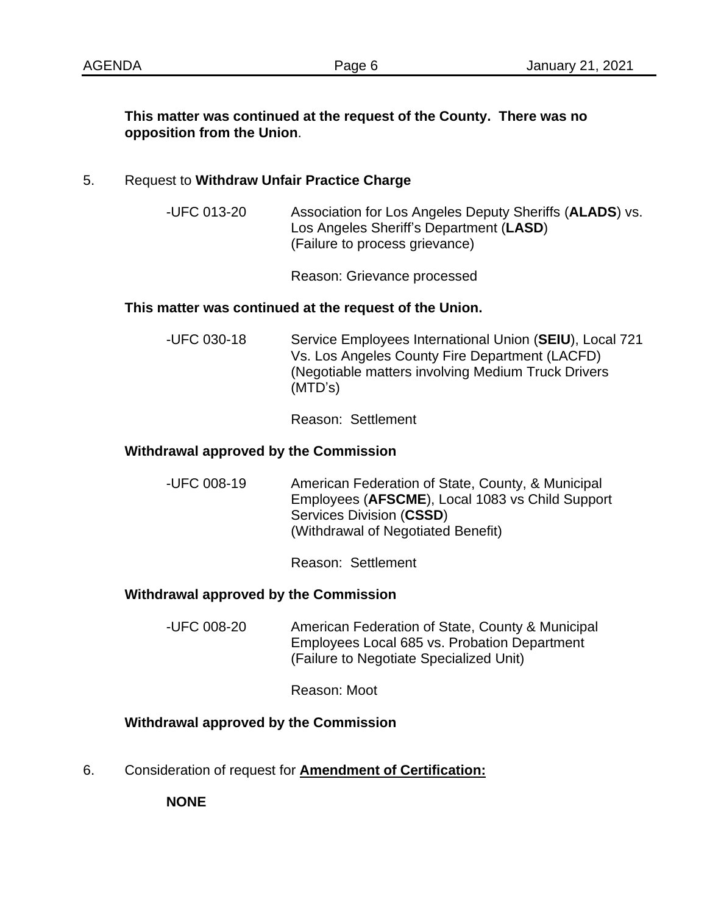## **This matter was continued at the request of the County. There was no opposition from the Union**.

## 5. Request to **Withdraw Unfair Practice Charge**

-UFC 013-20 Association for Los Angeles Deputy Sheriffs (**ALADS**) vs. Los Angeles Sheriff's Department (**LASD**) (Failure to process grievance)

Reason: Grievance processed

#### **This matter was continued at the request of the Union.**

-UFC 030-18 Service Employees International Union (**SEIU**), Local 721 Vs. Los Angeles County Fire Department (LACFD) (Negotiable matters involving Medium Truck Drivers (MTD's)

Reason: Settlement

#### **Withdrawal approved by the Commission**

-UFC 008-19 American Federation of State, County, & Municipal Employees (**AFSCME**), Local 1083 vs Child Support Services Division (**CSSD**) (Withdrawal of Negotiated Benefit)

Reason: Settlement

## **Withdrawal approved by the Commission**

-UFC 008-20 American Federation of State, County & Municipal Employees Local 685 vs. Probation Department (Failure to Negotiate Specialized Unit)

Reason: Moot

## **Withdrawal approved by the Commission**

6. Consideration of request for **Amendment of Certification:**

**NONE**